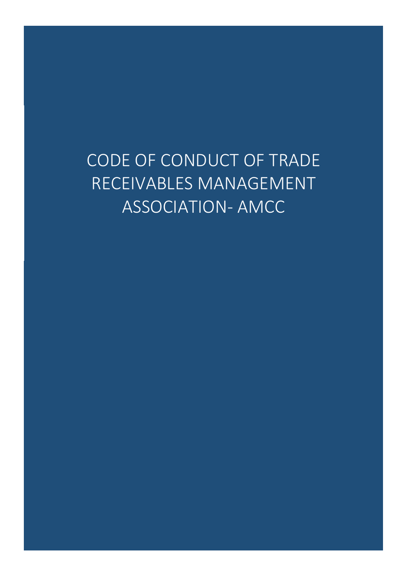CODE OF CONDUCT OF TRADE RECEIVABLES MANAGEMENT ASSOCIATION- AMCC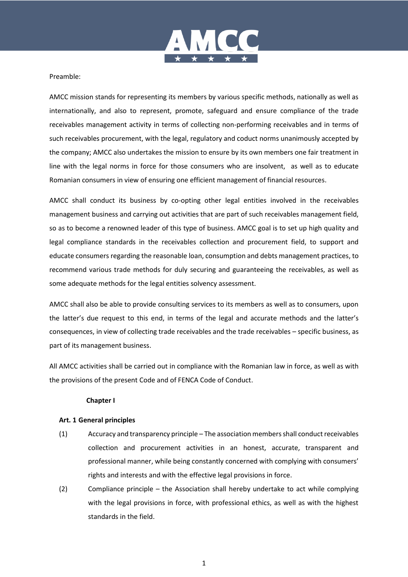

## Preamble:

AMCC mission stands for representing its members by various specific methods, nationally as well as internationally, and also to represent, promote, safeguard and ensure compliance of the trade receivables management activity in terms of collecting non-performing receivables and in terms of such receivables procurement, with the legal, regulatory and coduct norms unanimously accepted by the company; AMCC also undertakes the mission to ensure by its own members one fair treatment in line with the legal norms in force for those consumers who are insolvent, as well as to educate Romanian consumers in view of ensuring one efficient management of financial resources.

AMCC shall conduct its business by co-opting other legal entities involved in the receivables management business and carrying out activities that are part of such receivables management field, so as to become a renowned leader of this type of business. AMCC goal is to set up high quality and legal compliance standards in the receivables collection and procurement field, to support and educate consumers regarding the reasonable loan, consumption and debts management practices, to recommend various trade methods for duly securing and guaranteeing the receivables, as well as some adequate methods for the legal entities solvency assessment.

AMCC shall also be able to provide consulting services to its members as well as to consumers, upon the latter's due request to this end, in terms of the legal and accurate methods and the latter's consequences, in view of collecting trade receivables and the trade receivables – specific business, as part of its management business.

All AMCC activities shall be carried out in compliance with the Romanian law in force, as well as with the provisions of the present Code and of FENCA Code of Conduct.

# **Chapter I**

#### **Art. 1 General principles**

- (1) Accuracy and transparency principle The association members shall conduct receivables collection and procurement activities in an honest, accurate, transparent and professional manner, while being constantly concerned with complying with consumers' rights and interests and with the effective legal provisions in force.
- (2) Compliance principle the Association shall hereby undertake to act while complying with the legal provisions in force, with professional ethics, as well as with the highest standards in the field.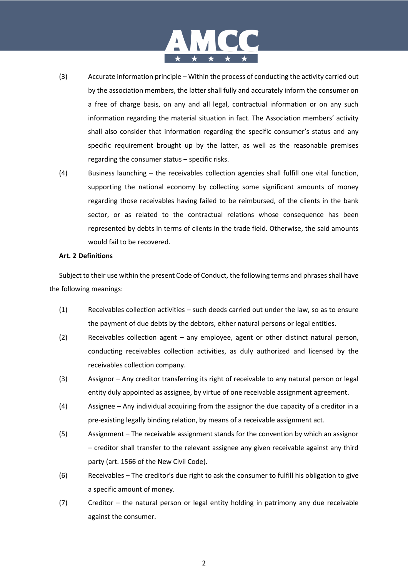# MCC ★ ★ ★ ★ ★ |

- (3) Accurate information principle Within the process of conducting the activity carried out by the association members, the latter shall fully and accurately inform the consumer on a free of charge basis, on any and all legal, contractual information or on any such information regarding the material situation in fact. The Association members' activity shall also consider that information regarding the specific consumer's status and any specific requirement brought up by the latter, as well as the reasonable premises regarding the consumer status – specific risks.
- (4) Business launching the receivables collection agencies shall fulfill one vital function, supporting the national economy by collecting some significant amounts of money regarding those receivables having failed to be reimbursed, of the clients in the bank sector, or as related to the contractual relations whose consequence has been represented by debts in terms of clients in the trade field. Otherwise, the said amounts would fail to be recovered.

## **Art. 2 Definitions**

Subject to their use within the present Code of Conduct, the following terms and phrases shall have the following meanings:

- (1) Receivables collection activities such deeds carried out under the law, so as to ensure the payment of due debts by the debtors, either natural persons or legal entities.
- (2) Receivables collection agent any employee, agent or other distinct natural person, conducting receivables collection activities, as duly authorized and licensed by the receivables collection company.
- (3) Assignor Any creditor transferring its right of receivable to any natural person or legal entity duly appointed as assignee, by virtue of one receivable assignment agreement.
- (4) Assignee Any individual acquiring from the assignor the due capacity of a creditor in a pre-existing legally binding relation, by means of a receivable assignment act.
- (5) Assignment The receivable assignment stands for the convention by which an assignor – creditor shall transfer to the relevant assignee any given receivable against any third party (art. 1566 of the New Civil Code).
- (6) Receivables The creditor's due right to ask the consumer to fulfill his obligation to give a specific amount of money.
- (7) Creditor the natural person or legal entity holding in patrimony any due receivable against the consumer.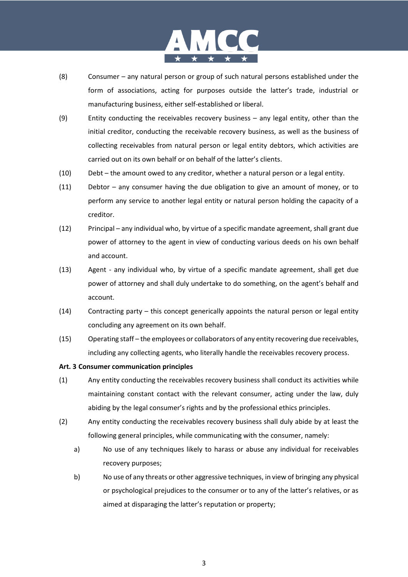

- (8) Consumer any natural person or group of such natural persons established under the form of associations, acting for purposes outside the latter's trade, industrial or manufacturing business, either self-established or liberal.
- (9) Entity conducting the receivables recovery business any legal entity, other than the initial creditor, conducting the receivable recovery business, as well as the business of collecting receivables from natural person or legal entity debtors, which activities are carried out on its own behalf or on behalf of the latter's clients.
- (10) Debt the amount owed to any creditor, whether a natural person or a legal entity.
- (11) Debtor any consumer having the due obligation to give an amount of money, or to perform any service to another legal entity or natural person holding the capacity of a creditor.
- (12) Principal any individual who, by virtue of a specific mandate agreement, shall grant due power of attorney to the agent in view of conducting various deeds on his own behalf and account.
- (13) Agent any individual who, by virtue of a specific mandate agreement, shall get due power of attorney and shall duly undertake to do something, on the agent's behalf and account.
- (14) Contracting party this concept generically appoints the natural person or legal entity concluding any agreement on its own behalf.
- (15) Operating staff the employees or collaborators of any entity recovering due receivables, including any collecting agents, who literally handle the receivables recovery process.

#### **Art. 3 Consumer communication principles**

- (1) Any entity conducting the receivables recovery business shall conduct its activities while maintaining constant contact with the relevant consumer, acting under the law, duly abiding by the legal consumer's rights and by the professional ethics principles.
- (2) Any entity conducting the receivables recovery business shall duly abide by at least the following general principles, while communicating with the consumer, namely:
	- a) No use of any techniques likely to harass or abuse any individual for receivables recovery purposes;
	- b) No use of any threats or other aggressive techniques, in view of bringing any physical or psychological prejudices to the consumer or to any of the latter's relatives, or as aimed at disparaging the latter's reputation or property;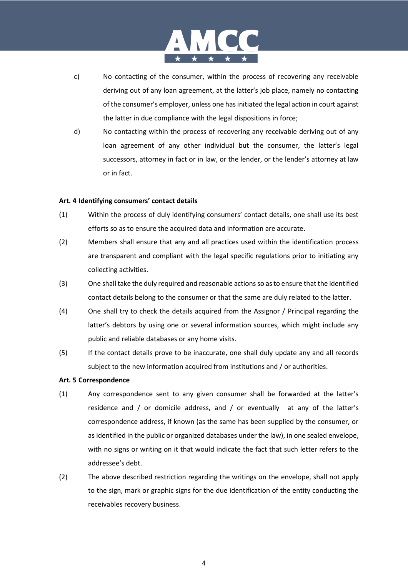# MCC ★ ★ ★ ★ ★ |

- c) No contacting of the consumer, within the process of recovering any receivable deriving out of any loan agreement, at the latter's job place, namely no contacting of the consumer's employer, unless one has initiated the legal action in court against the latter in due compliance with the legal dispositions in force;
- d) No contacting within the process of recovering any receivable deriving out of any loan agreement of any other individual but the consumer, the latter's legal successors, attorney in fact or in law, or the lender, or the lender's attorney at law or in fact.

# **Art. 4 Identifying consumers' contact details**

- (1) Within the process of duly identifying consumers' contact details, one shall use its best efforts so as to ensure the acquired data and information are accurate.
- (2) Members shall ensure that any and all practices used within the identification process are transparent and compliant with the legal specific regulations prior to initiating any collecting activities.
- (3) One shall take the duly required and reasonable actions so as to ensure that the identified contact details belong to the consumer or that the same are duly related to the latter.
- (4) One shall try to check the details acquired from the Assignor / Principal regarding the latter's debtors by using one or several information sources, which might include any public and reliable databases or any home visits.
- (5) If the contact details prove to be inaccurate, one shall duly update any and all records subject to the new information acquired from institutions and / or authorities.

# **Art. 5 Correspondence**

- (1) Any correspondence sent to any given consumer shall be forwarded at the latter's residence and / or domicile address, and / or eventually at any of the latter's correspondence address, if known (as the same has been supplied by the consumer, or as identified in the public or organized databases under the law), in one sealed envelope, with no signs or writing on it that would indicate the fact that such letter refers to the addressee's debt.
- (2) The above described restriction regarding the writings on the envelope, shall not apply to the sign, mark or graphic signs for the due identification of the entity conducting the receivables recovery business.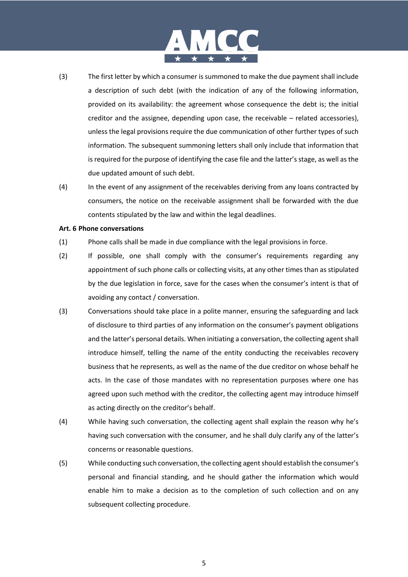

- (3) The first letter by which a consumer is summoned to make the due payment shall include a description of such debt (with the indication of any of the following information, provided on its availability: the agreement whose consequence the debt is; the initial creditor and the assignee, depending upon case, the receivable – related accessories), unless the legal provisions require the due communication of other further types of such information. The subsequent summoning letters shall only include that information that is required for the purpose of identifying the case file and the latter's stage, as well as the due updated amount of such debt.
- (4) In the event of any assignment of the receivables deriving from any loans contracted by consumers, the notice on the receivable assignment shall be forwarded with the due contents stipulated by the law and within the legal deadlines.

#### **Art. 6 Phone conversations**

- (1) Phone calls shall be made in due compliance with the legal provisions in force.
- (2) If possible, one shall comply with the consumer's requirements regarding any appointment of such phone calls or collecting visits, at any other times than as stipulated by the due legislation in force, save for the cases when the consumer's intent is that of avoiding any contact / conversation.
- (3) Conversations should take place in a polite manner, ensuring the safeguarding and lack of disclosure to third parties of any information on the consumer's payment obligations and the latter's personal details. When initiating a conversation, the collecting agent shall introduce himself, telling the name of the entity conducting the receivables recovery business that he represents, as well as the name of the due creditor on whose behalf he acts. In the case of those mandates with no representation purposes where one has agreed upon such method with the creditor, the collecting agent may introduce himself as acting directly on the creditor's behalf.
- (4) While having such conversation, the collecting agent shall explain the reason why he's having such conversation with the consumer, and he shall duly clarify any of the latter's concerns or reasonable questions.
- (5) While conducting such conversation, the collecting agent should establish the consumer's personal and financial standing, and he should gather the information which would enable him to make a decision as to the completion of such collection and on any subsequent collecting procedure.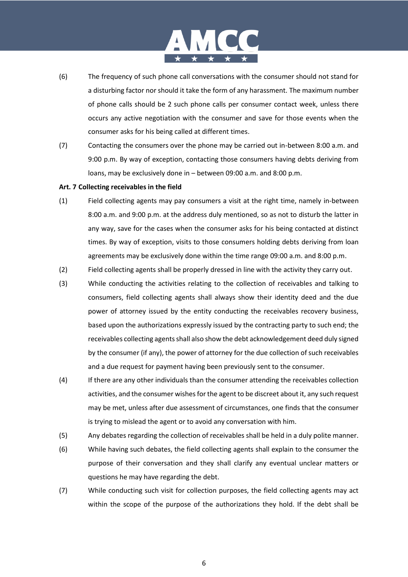# MCC ★ ★ ★ ★ ★ |

- (6) The frequency of such phone call conversations with the consumer should not stand for a disturbing factor nor should it take the form of any harassment. The maximum number of phone calls should be 2 such phone calls per consumer contact week, unless there occurs any active negotiation with the consumer and save for those events when the consumer asks for his being called at different times.
- (7) Contacting the consumers over the phone may be carried out in-between 8:00 a.m. and 9:00 p.m. By way of exception, contacting those consumers having debts deriving from loans, may be exclusively done in – between 09:00 a.m. and 8:00 p.m.

## **Art. 7 Collecting receivables in the field**

- (1) Field collecting agents may pay consumers a visit at the right time, namely in-between 8:00 a.m. and 9:00 p.m. at the address duly mentioned, so as not to disturb the latter in any way, save for the cases when the consumer asks for his being contacted at distinct times. By way of exception, visits to those consumers holding debts deriving from loan agreements may be exclusively done within the time range 09:00 a.m. and 8:00 p.m.
- (2) Field collecting agents shall be properly dressed in line with the activity they carry out.
- (3) While conducting the activities relating to the collection of receivables and talking to consumers, field collecting agents shall always show their identity deed and the due power of attorney issued by the entity conducting the receivables recovery business, based upon the authorizations expressly issued by the contracting party to such end; the receivables collecting agents shall also show the debt acknowledgement deed duly signed by the consumer (if any), the power of attorney for the due collection of such receivables and a due request for payment having been previously sent to the consumer.
- (4) If there are any other individuals than the consumer attending the receivables collection activities, and the consumer wishes for the agent to be discreet about it, any such request may be met, unless after due assessment of circumstances, one finds that the consumer is trying to mislead the agent or to avoid any conversation with him.
- (5) Any debates regarding the collection of receivables shall be held in a duly polite manner.
- (6) While having such debates, the field collecting agents shall explain to the consumer the purpose of their conversation and they shall clarify any eventual unclear matters or questions he may have regarding the debt.
- (7) While conducting such visit for collection purposes, the field collecting agents may act within the scope of the purpose of the authorizations they hold. If the debt shall be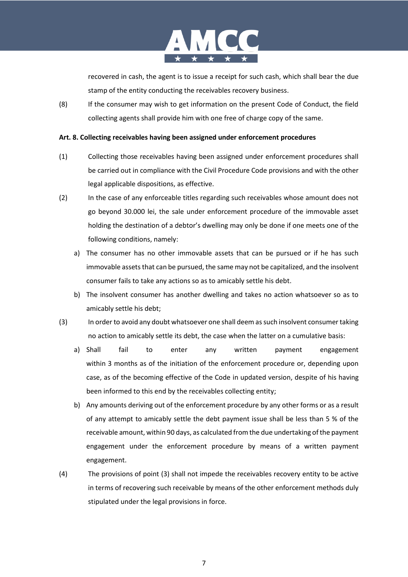

recovered in cash, the agent is to issue a receipt for such cash, which shall bear the due stamp of the entity conducting the receivables recovery business.

(8) If the consumer may wish to get information on the present Code of Conduct, the field collecting agents shall provide him with one free of charge copy of the same.

## **Art. 8. Collecting receivables having been assigned under enforcement procedures**

- (1) Collecting those receivables having been assigned under enforcement procedures shall be carried out in compliance with the Civil Procedure Code provisions and with the other legal applicable dispositions, as effective.
- (2) In the case of any enforceable titles regarding such receivables whose amount does not go beyond 30.000 lei, the sale under enforcement procedure of the immovable asset holding the destination of a debtor's dwelling may only be done if one meets one of the following conditions, namely:
	- a) The consumer has no other immovable assets that can be pursued or if he has such immovable assets that can be pursued, the same may not be capitalized, and the insolvent consumer fails to take any actions so as to amicably settle his debt.
	- b) The insolvent consumer has another dwelling and takes no action whatsoever so as to amicably settle his debt;
- (3) In order to avoid any doubt whatsoever one shall deem as such insolvent consumer taking no action to amicably settle its debt, the case when the latter on a cumulative basis:
	- a) Shall fail to enter any written payment engagement within 3 months as of the initiation of the enforcement procedure or, depending upon case, as of the becoming effective of the Code in updated version, despite of his having been informed to this end by the receivables collecting entity;
	- b) Any amounts deriving out of the enforcement procedure by any other forms or as a result of any attempt to amicably settle the debt payment issue shall be less than 5 % of the receivable amount, within 90 days, as calculated from the due undertaking of the payment engagement under the enforcement procedure by means of a written payment engagement.
- (4) The provisions of point (3) shall not impede the receivables recovery entity to be active in terms of recovering such receivable by means of the other enforcement methods duly stipulated under the legal provisions in force.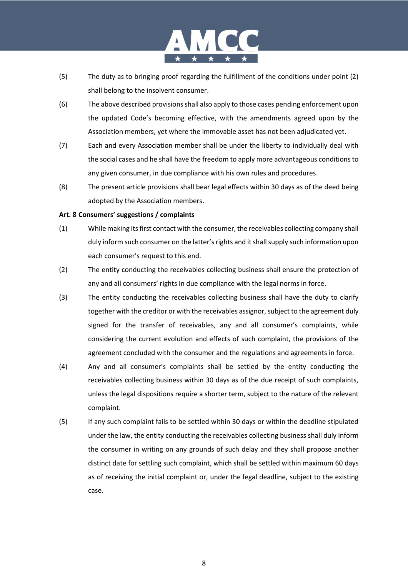

- (5) The duty as to bringing proof regarding the fulfillment of the conditions under point (2) shall belong to the insolvent consumer.
- (6) The above described provisions shall also apply to those cases pending enforcement upon the updated Code's becoming effective, with the amendments agreed upon by the Association members, yet where the immovable asset has not been adjudicated yet.
- (7) Each and every Association member shall be under the liberty to individually deal with the social cases and he shall have the freedom to apply more advantageous conditions to any given consumer, in due compliance with his own rules and procedures.
- (8) The present article provisions shall bear legal effects within 30 days as of the deed being adopted by the Association members.

## **Art. 8 Consumers' suggestions / complaints**

- (1) While making its first contact with the consumer, the receivables collecting company shall duly inform such consumer on the latter's rights and it shall supply such information upon each consumer's request to this end.
- (2) The entity conducting the receivables collecting business shall ensure the protection of any and all consumers' rights in due compliance with the legal norms in force.
- (3) The entity conducting the receivables collecting business shall have the duty to clarify together with the creditor or with the receivables assignor, subject to the agreement duly signed for the transfer of receivables, any and all consumer's complaints, while considering the current evolution and effects of such complaint, the provisions of the agreement concluded with the consumer and the regulations and agreements in force.
- (4) Any and all consumer's complaints shall be settled by the entity conducting the receivables collecting business within 30 days as of the due receipt of such complaints, unless the legal dispositions require a shorter term, subject to the nature of the relevant complaint.
- (5) If any such complaint fails to be settled within 30 days or within the deadline stipulated under the law, the entity conducting the receivables collecting business shall duly inform the consumer in writing on any grounds of such delay and they shall propose another distinct date for settling such complaint, which shall be settled within maximum 60 days as of receiving the initial complaint or, under the legal deadline, subject to the existing case.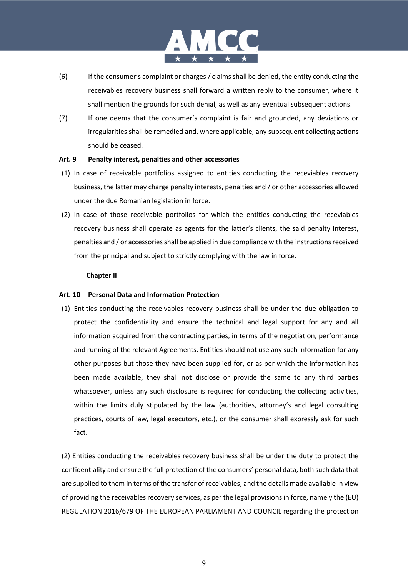

- (6) If the consumer's complaint or charges / claims shall be denied, the entity conducting the receivables recovery business shall forward a written reply to the consumer, where it shall mention the grounds for such denial, as well as any eventual subsequent actions.
- (7) If one deems that the consumer's complaint is fair and grounded, any deviations or irregularities shall be remedied and, where applicable, any subsequent collecting actions should be ceased.

## **Art. 9 Penalty interest, penalties and other accessories**

- (1) In case of receivable portfolios assigned to entities conducting the receviables recovery business, the latter may charge penalty interests, penalties and / or other accessories allowed under the due Romanian legislation in force.
- (2) In case of those receivable portfolios for which the entities conducting the receviables recovery business shall operate as agents for the latter's clients, the said penalty interest, penalties and / or accessories shall be applied in due compliance with the instructions received from the principal and subject to strictly complying with the law in force.

## **Chapter II**

# **Art. 10 Personal Data and Information Protection**

(1) Entities conducting the receivables recovery business shall be under the due obligation to protect the confidentiality and ensure the technical and legal support for any and all information acquired from the contracting parties, in terms of the negotiation, performance and running of the relevant Agreements. Entities should not use any such information for any other purposes but those they have been supplied for, or as per which the information has been made available, they shall not disclose or provide the same to any third parties whatsoever, unless any such disclosure is required for conducting the collecting activities, within the limits duly stipulated by the law (authorities, attorney's and legal consulting practices, courts of law, legal executors, etc.), or the consumer shall expressly ask for such fact.

(2) Entities conducting the receivables recovery business shall be under the duty to protect the confidentiality and ensure the full protection of the consumers' personal data, both such data that are supplied to them in terms of the transfer of receivables, and the details made available in view of providing the receivables recovery services, as per the legal provisions in force, namely the (EU) REGULATION 2016/679 OF THE EUROPEAN PARLIAMENT AND COUNCIL regarding the protection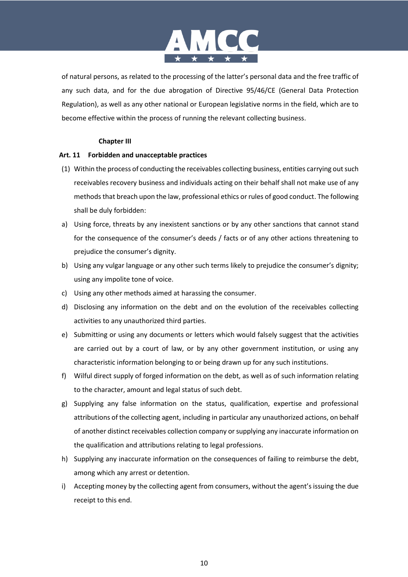

of natural persons, as related to the processing of the latter's personal data and the free traffic of any such data, and for the due abrogation of Directive 95/46/CE (General Data Protection Regulation), as well as any other national or European legislative norms in the field, which are to become effective within the process of running the relevant collecting business.

# **Chapter III**

# **Art. 11 Forbidden and unacceptable practices**

- (1) Within the process of conducting the receivables collecting business, entities carrying out such receivables recovery business and individuals acting on their behalf shall not make use of any methods that breach upon the law, professional ethics or rules of good conduct. The following shall be duly forbidden:
- a) Using force, threats by any inexistent sanctions or by any other sanctions that cannot stand for the consequence of the consumer's deeds / facts or of any other actions threatening to prejudice the consumer's dignity.
- b) Using any vulgar language or any other such terms likely to prejudice the consumer's dignity; using any impolite tone of voice.
- c) Using any other methods aimed at harassing the consumer.
- d) Disclosing any information on the debt and on the evolution of the receivables collecting activities to any unauthorized third parties.
- e) Submitting or using any documents or letters which would falsely suggest that the activities are carried out by a court of law, or by any other government institution, or using any characteristic information belonging to or being drawn up for any such institutions.
- f) Wilful direct supply of forged information on the debt, as well as of such information relating to the character, amount and legal status of such debt.
- g) Supplying any false information on the status, qualification, expertise and professional attributions of the collecting agent, including in particular any unauthorized actions, on behalf of another distinct receivables collection company or supplying any inaccurate information on the qualification and attributions relating to legal professions.
- h) Supplying any inaccurate information on the consequences of failing to reimburse the debt, among which any arrest or detention.
- i) Accepting money by the collecting agent from consumers, without the agent's issuing the due receipt to this end.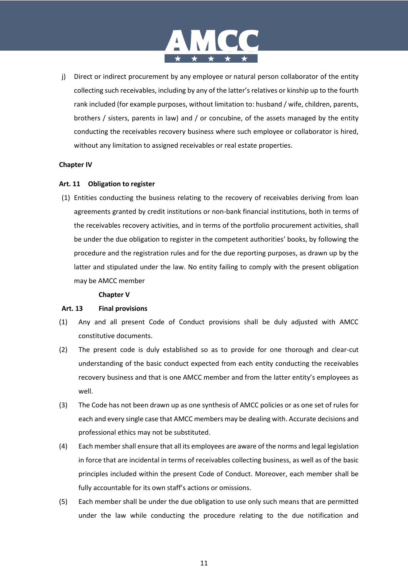

j) Direct or indirect procurement by any employee or natural person collaborator of the entity collecting such receivables, including by any of the latter's relatives or kinship up to the fourth rank included (for example purposes, without limitation to: husband / wife, children, parents, brothers / sisters, parents in law) and / or concubine, of the assets managed by the entity conducting the receivables recovery business where such employee or collaborator is hired, without any limitation to assigned receivables or real estate properties.

## **Chapter IV**

## **Art. 11 Obligation to register**

(1) Entities conducting the business relating to the recovery of receivables deriving from loan agreements granted by credit institutions or non-bank financial institutions, both in terms of the receivables recovery activities, and in terms of the portfolio procurement activities, shall be under the due obligation to register in the competent authorities' books, by following the procedure and the registration rules and for the due reporting purposes, as drawn up by the latter and stipulated under the law. No entity failing to comply with the present obligation may be AMCC member

#### **Chapter V**

#### **Art. 13 Final provisions**

- (1) Any and all present Code of Conduct provisions shall be duly adjusted with AMCC constitutive documents.
- (2) The present code is duly established so as to provide for one thorough and clear-cut understanding of the basic conduct expected from each entity conducting the receivables recovery business and that is one AMCC member and from the latter entity's employees as well.
- (3) The Code has not been drawn up as one synthesis of AMCC policies or as one set of rules for each and every single case that AMCC members may be dealing with. Accurate decisions and professional ethics may not be substituted.
- (4) Each member shall ensure that all its employees are aware of the norms and legal legislation in force that are incidental in terms of receivables collecting business, as well as of the basic principles included within the present Code of Conduct. Moreover, each member shall be fully accountable for its own staff's actions or omissions.
- (5) Each member shall be under the due obligation to use only such means that are permitted under the law while conducting the procedure relating to the due notification and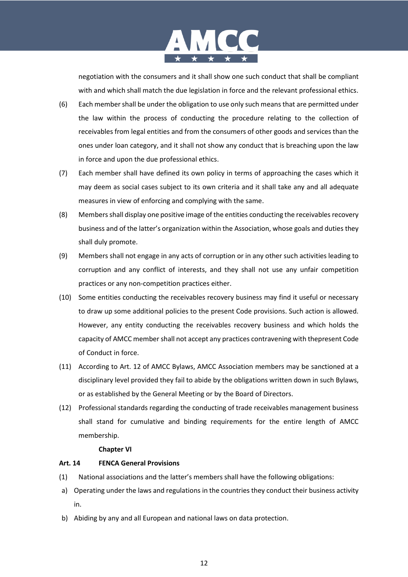

negotiation with the consumers and it shall show one such conduct that shall be compliant with and which shall match the due legislation in force and the relevant professional ethics.

- (6) Each member shall be under the obligation to use only such means that are permitted under the law within the process of conducting the procedure relating to the collection of receivables from legal entities and from the consumers of other goods and services than the ones under loan category, and it shall not show any conduct that is breaching upon the law in force and upon the due professional ethics.
- (7) Each member shall have defined its own policy in terms of approaching the cases which it may deem as social cases subject to its own criteria and it shall take any and all adequate measures in view of enforcing and complying with the same.
- (8) Members shall display one positive image of the entities conducting the receivables recovery business and of the latter's organization within the Association, whose goals and duties they shall duly promote.
- (9) Members shall not engage in any acts of corruption or in any other such activities leading to corruption and any conflict of interests, and they shall not use any unfair competition practices or any non-competition practices either.
- (10) Some entities conducting the receivables recovery business may find it useful or necessary to draw up some additional policies to the present Code provisions. Such action is allowed. However, any entity conducting the receivables recovery business and which holds the capacity of AMCC member shall not accept any practices contravening with thepresent Code of Conduct in force.
- (11) According to Art. 12 of AMCC Bylaws, AMCC Association members may be sanctioned at a disciplinary level provided they fail to abide by the obligations written down in such Bylaws, or as established by the General Meeting or by the Board of Directors.
- (12) Professional standards regarding the conducting of trade receivables management business shall stand for cumulative and binding requirements for the entire length of AMCC membership.

#### **Chapter VI**

# **Art. 14 FENCA General Provisions**

- (1) National associations and the latter's members shall have the following obligations:
- a) Operating under the laws and regulations in the countries they conduct their business activity in.
- b) Abiding by any and all European and national laws on data protection.